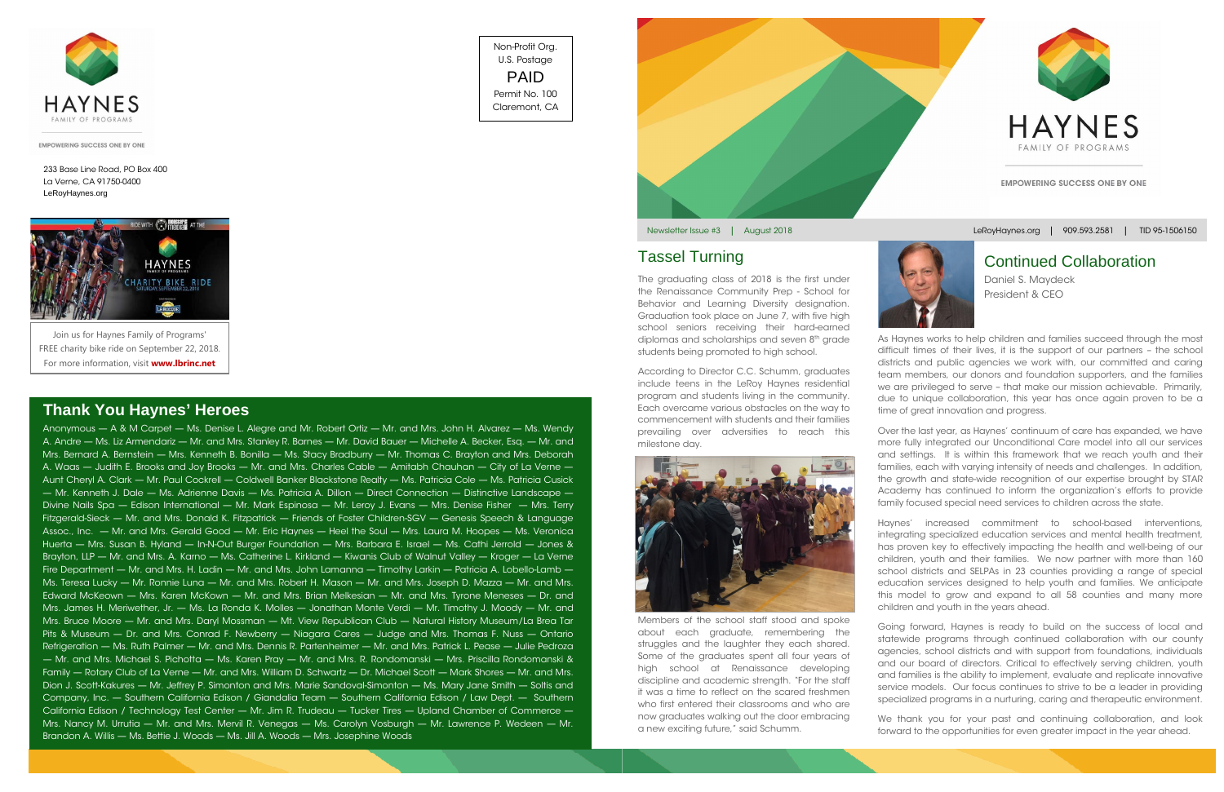

**EMPOWERING SUCCESS ONE BY ONE** 

As Haynes works to help children and families succeed through the most difficult times of their lives, it is the support of our partners – the school districts and public agencies we work with, our committed and caring team members, our donors and foundation supporters, and the families we are privileged to serve – that make our mission achievable. Primarily, due to unique collaboration, this year has once again proven to be a time of great innovation and progress.

Over the last year, as Haynes' continuum of care has expanded, we have more fully integrated our Unconditional Care model into all our services and settings. It is within this framework that we reach youth and their families, each with varying intensity of needs and challenges. In addition, the growth and state-wide recognition of our expertise brought by STAR Academy has continued to inform the organization's efforts to provide family focused special need services to children across the state.

Haynes' increased commitment to school-based interventions, integrating specialized education services and mental health treatment, has proven key to effectively impacting the health and well-being of our children, youth and their families. We now partner with more than 160 school districts and SELPAs in 23 counties providing a range of special education services designed to help youth and families. We anticipate this model to grow and expand to all 58 counties and many more children and youth in the years ahead.

Going forward, Haynes is ready to build on the success of local and statewide programs through continued collaboration with our county agencies, school districts and with support from foundations, individuals and our board of directors. Critical to effectively serving children, youth and families is the ability to implement, evaluate and replicate innovative service models. Our focus continues to strive to be a leader in providing specialized programs in a nurturing, caring and therapeutic environment.

We thank you for your past and continuing collaboration, and look forward to the opportunities for even greater impact in the year ahead.

The graduating class of 2018 is the first under the Renaissance Community Prep - School for Behavior and Learning Diversity designation. Graduation took place on June 7, with five high school seniors receiving their hard-earned diplomas and scholarships and seven 8<sup>th</sup> grade students being promoted to high school.

According to Director C.C. Schumm, graduates include teens in the LeRoy Haynes residential program and students living in the community. Each overcame various obstacles on the way to commencement with students and their families prevailing over adversities to reach this milestone day.



Members of the school staff stood and spoke about each graduate, remembering the struggles and the laughter they each shared. Some of the graduates spent all four years of high school at Renaissance developing discipline and academic strength. "For the staff it was a time to reflect on the scared freshmen who first entered their classrooms and who are now graduates walking out the door embracing a new exciting future," said Schumm.

#### Tassel Turning

### **Thank You Haynes' Heroes**

Continued Collaboration

Anonymous — A & M Carpet — Ms. Denise L. Alegre and Mr. Robert Ortiz — Mr. and Mrs. John H. Alvarez — Ms. Wendy A. Andre — Ms. Liz Armendariz — Mr. and Mrs. Stanley R. Barnes — Mr. David Bauer — Michelle A. Becker, Esq. — Mr. and Mrs. Bernard A. Bernstein — Mrs. Kenneth B. Bonilla — Ms. Stacy Bradburry — Mr. Thomas C. Brayton and Mrs. Deborah A. Waas — Judith E. Brooks and Joy Brooks — Mr. and Mrs. Charles Cable — Amitabh Chauhan — City of La Verne — Aunt Cheryl A. Clark — Mr. Paul Cockrell — Coldwell Banker Blackstone Realty — Ms. Patricia Cole — Ms. Patricia Cusick — Mr. Kenneth J. Dale — Ms. Adrienne Davis — Ms. Patricia A. Dillon — Direct Connection — Distinctive Landscape — Divine Nails Spa — Edison International — Mr. Mark Espinosa — Mr. Leroy J. Evans — Mrs. Denise Fisher — Mrs. Terry Fitzgerald-Sieck — Mr. and Mrs. Donald K. Fitzpatrick — Friends of Foster Children-SGV — Genesis Speech & Language Assoc., Inc. — Mr. and Mrs. Gerald Good — Mr. Eric Haynes — Heel the Soul — Mrs. Laura M. Hoopes — Ms. Veronica Huerta — Mrs. Susan B. Hyland — In-N-Out Burger Foundation — Mrs. Barbara E. Israel — Ms. Cathi Jerrold — Jones & Brayton, LLP — Mr. and Mrs. A. Karno — Ms. Catherine L. Kirkland — Kiwanis Club of Walnut Valley — Kroger — La Verne Fire Department — Mr. and Mrs. H. Ladin — Mr. and Mrs. John Lamanna — Timothy Larkin — Patricia A. Lobello-Lamb — Ms. Teresa Lucky — Mr. Ronnie Luna — Mr. and Mrs. Robert H. Mason — Mr. and Mrs. Joseph D. Mazza — Mr. and Mrs. Edward McKeown — Mrs. Karen McKown — Mr. and Mrs. Brian Melkesian — Mr. and Mrs. Tyrone Meneses — Dr. and Mrs. James H. Meriwether, Jr. — Ms. La Ronda K. Molles — Jonathan Monte Verdi — Mr. Timothy J. Moody — Mr. and Mrs. Bruce Moore — Mr. and Mrs. Daryl Mossman — Mt. View Republican Club — Natural History Museum/La Brea Tar Pits & Museum — Dr. and Mrs. Conrad F. Newberry — Niagara Cares — Judge and Mrs. Thomas F. Nuss — Ontario Refrigeration — Ms. Ruth Palmer — Mr. and Mrs. Dennis R. Partenheimer — Mr. and Mrs. Patrick L. Pease — Julie Pedroza — Mr. and Mrs. Michael S. Pichotta — Ms. Karen Pray — Mr. and Mrs. R. Rondomanski — Mrs. Priscilla Rondomanski & Family — Rotary Club of La Verne — Mr. and Mrs. William D. Schwartz — Dr. Michael Scott — Mark Shores — Mr. and Mrs. Dion J. Scott-Kakures — Mr. Jeffrey P. Simonton and Mrs. Marie Sandoval-Simonton — Ms. Mary Jane Smith — Soltis and Company, Inc. — Southern California Edison / Giandalia Team — Southern California Edison / Law Dept. — Southern California Edison / Technology Test Center — Mr. Jim R. Trudeau — Tucker Tires — Upland Chamber of Commerce — Mrs. Nancy M. Urrutia — Mr. and Mrs. Mervil R. Venegas — Ms. Carolyn Vosburgh — Mr. Lawrence P. Wedeen — Mr. Brandon A. Willis — Ms. Bettie J. Woods — Ms. Jill A. Woods — Mrs. Josephine Woods

Newsletter Issue #3 | August 2018

Non-Profit Org. U.S. Postage PAID Permit No. 100 Claremont, CA



LeRoyHaynes.org | 909.593.2581 | TID 95-1506150



233 Base Line Road, PO Box 400 La Verne, CA 91750-0400 LeRoyHaynes.org



Daniel S. Maydeck President & CEO

Join us for Haynes Family of Programs' FREE charity bike ride on September 22, 2018. For more information, visit **[www.lbrinc.net](http://www.lbrinc.net/)**